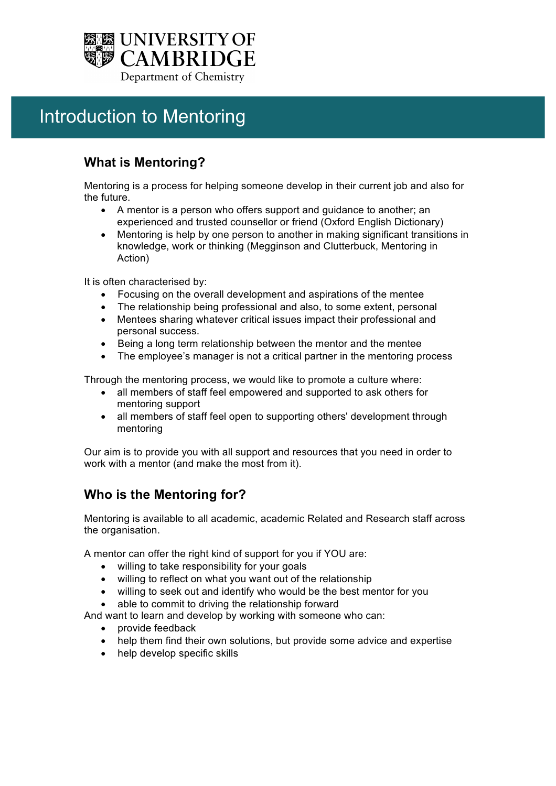

# Introduction to Mentoring

# **What is Mentoring?**

Mentoring is a process for helping someone develop in their current job and also for the future.

- A mentor is a person who offers support and guidance to another; an experienced and trusted counsellor or friend (Oxford English Dictionary)
- Mentoring is help by one person to another in making significant transitions in knowledge, work or thinking (Megginson and Clutterbuck, Mentoring in Action)

It is often characterised by:

- Focusing on the overall development and aspirations of the mentee
- The relationship being professional and also, to some extent, personal
- Mentees sharing whatever critical issues impact their professional and personal success.
- Being a long term relationship between the mentor and the mentee
- The employee's manager is not a critical partner in the mentoring process

Through the mentoring process, we would like to promote a culture where:

- all members of staff feel empowered and supported to ask others for mentoring support
- all members of staff feel open to supporting others' development through mentoring

Our aim is to provide you with all support and resources that you need in order to work with a mentor (and make the most from it).

## **Who is the Mentoring for?**

Mentoring is available to all academic, academic Related and Research staff across the organisation.

A mentor can offer the right kind of support for you if YOU are:

- willing to take responsibility for your goals
- willing to reflect on what you want out of the relationship
- willing to seek out and identify who would be the best mentor for you
- able to commit to driving the relationship forward

And want to learn and develop by working with someone who can:

- provide feedback
- help them find their own solutions, but provide some advice and expertise
- help develop specific skills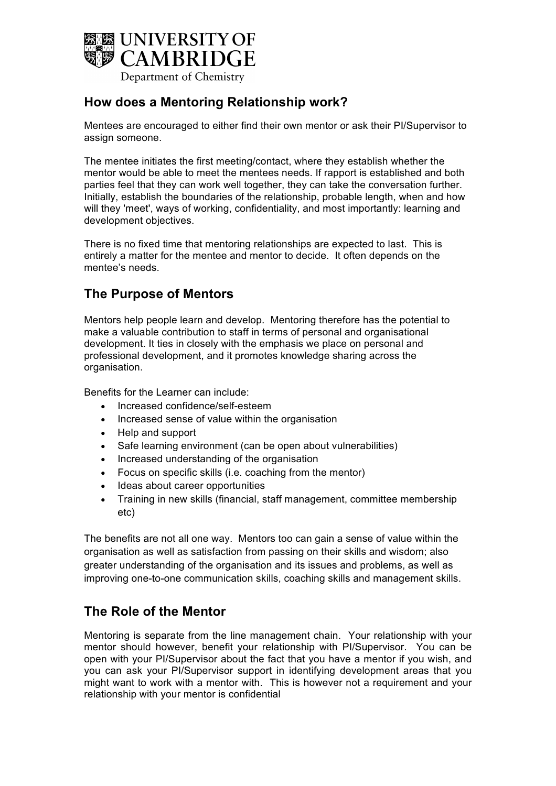

## **How does a Mentoring Relationship work?**

Mentees are encouraged to either find their own mentor or ask their PI/Supervisor to assign someone.

The mentee initiates the first meeting/contact, where they establish whether the mentor would be able to meet the mentees needs. If rapport is established and both parties feel that they can work well together, they can take the conversation further. Initially, establish the boundaries of the relationship, probable length, when and how will they 'meet', ways of working, confidentiality, and most importantly: learning and development objectives.

There is no fixed time that mentoring relationships are expected to last. This is entirely a matter for the mentee and mentor to decide. It often depends on the mentee's needs.

#### **The Purpose of Mentors**

Mentors help people learn and develop. Mentoring therefore has the potential to make a valuable contribution to staff in terms of personal and organisational development. It ties in closely with the emphasis we place on personal and professional development, and it promotes knowledge sharing across the organisation.

Benefits for the Learner can include:

- Increased confidence/self-esteem
- Increased sense of value within the organisation
- Help and support
- Safe learning environment (can be open about vulnerabilities)
- Increased understanding of the organisation
- Focus on specific skills (i.e. coaching from the mentor)
- Ideas about career opportunities
- Training in new skills (financial, staff management, committee membership etc)

The benefits are not all one way. Mentors too can gain a sense of value within the organisation as well as satisfaction from passing on their skills and wisdom; also greater understanding of the organisation and its issues and problems, as well as improving one-to-one communication skills, coaching skills and management skills.

#### **The Role of the Mentor**

Mentoring is separate from the line management chain. Your relationship with your mentor should however, benefit your relationship with PI/Supervisor. You can be open with your PI/Supervisor about the fact that you have a mentor if you wish, and you can ask your PI/Supervisor support in identifying development areas that you might want to work with a mentor with. This is however not a requirement and your relationship with your mentor is confidential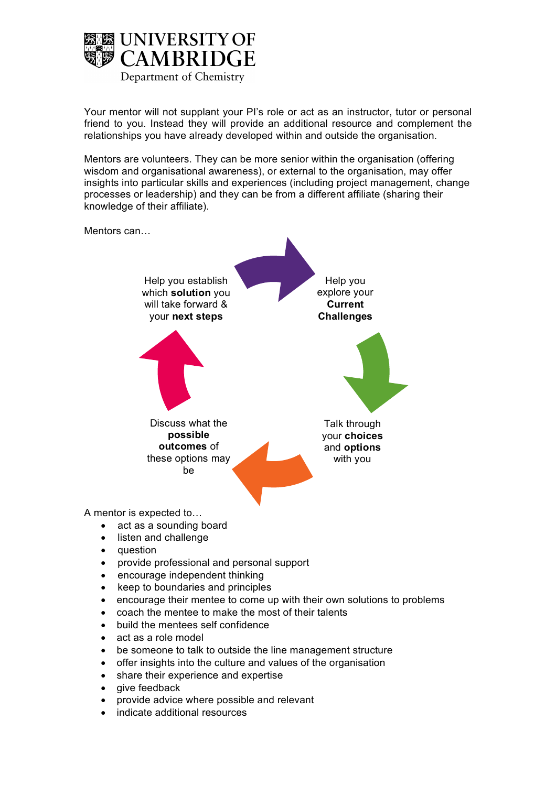

Your mentor will not supplant your PI's role or act as an instructor, tutor or personal friend to you. Instead they will provide an additional resource and complement the relationships you have already developed within and outside the organisation.

Mentors are volunteers. They can be more senior within the organisation (offering wisdom and organisational awareness), or external to the organisation, may offer insights into particular skills and experiences (including project management, change processes or leadership) and they can be from a different affiliate (sharing their knowledge of their affiliate).



- question
- provide professional and personal support
- encourage independent thinking
- keep to boundaries and principles
- encourage their mentee to come up with their own solutions to problems
- coach the mentee to make the most of their talents
- build the mentees self confidence
- act as a role model
- be someone to talk to outside the line management structure
- offer insights into the culture and values of the organisation
- share their experience and expertise
- give feedback
- provide advice where possible and relevant
- indicate additional resources